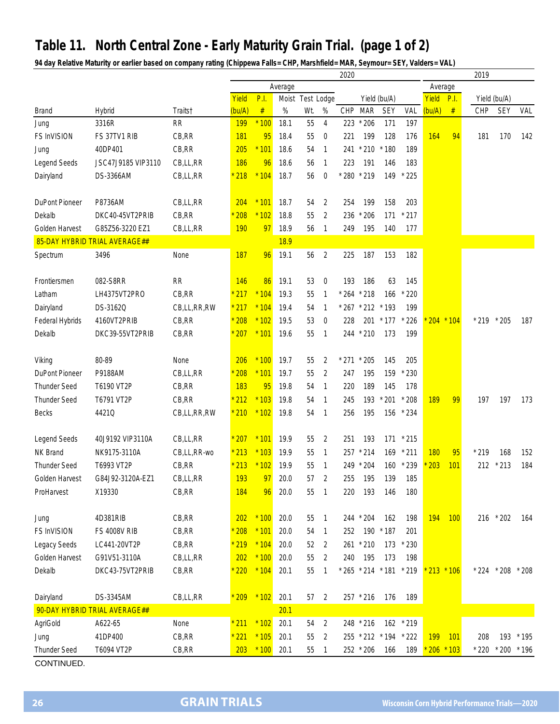## **Table 11. North Central Zone - Early Maturity Grain Trial. (page 1 of 2)**

**94 day Relative Maturity or earlier based on company rating (Chippewa Falls= CHP, Marshfield= MAR, Seymour= SEY, Valders= VAL)**

|                       |                               |             |                |             |             |     |                                  |                         |            | 2019       |        |                      |     |               |                     |           |  |
|-----------------------|-------------------------------|-------------|----------------|-------------|-------------|-----|----------------------------------|-------------------------|------------|------------|--------|----------------------|-----|---------------|---------------------|-----------|--|
|                       |                               |             | Average        |             |             |     |                                  |                         |            |            |        | Average              |     |               |                     |           |  |
|                       |                               |             | Yield          | <b>P.I.</b> |             |     | Moist Test Lodge<br>Yield (bu/A) |                         |            |            | Yield  | P.I.<br>Yield (bu/A) |     |               |                     |           |  |
| <b>Brand</b>          | <b>Hybrid</b>                 | Traits†     | (bu/A)         | $\#$        | %           | Wt. | %                                | CHP                     | <b>MAR</b> | <b>SEY</b> | VAL    | (bu/A)               | #   | <b>CHP</b>    | <b>SEY</b>          | VAL       |  |
| Jung                  | 3316R                         | <b>RR</b>   | 199            | $*100$      | 18.1        | 55  | 4                                | 223                     | $*206$     | 171        | 197    |                      |     |               |                     |           |  |
| <b>FS InVISION</b>    | FS 37TV1 RIB                  | CB, RR      | <b>181</b>     | 95          | 18.4        | 55  | $\boldsymbol{0}$                 | 221                     | 199        | 128        | 176    | 164                  | 94  | 181           | 170                 | 142       |  |
| Jung                  | 40DP401                       | CB, RR      | 205            | $*101$      | 18.6        | 54  | $\mathbf{1}$                     | 241 * 210               |            | $*180$     | 189    |                      |     |               |                     |           |  |
| Legend Seeds          | JSC47J9185 VIP3110            | CB,LL,RR    | 186            | 96          | 18.6        | 56  | $\overline{1}$                   | 223                     | 191        | 146        | 183    |                      |     |               |                     |           |  |
| Dairyland             | DS-3366AM                     | CB,LL,RR    | 218            | $*104$      | 18.7        | 56  | $\mathbf{0}$                     | * 280 * 219             |            | 149        | $*225$ |                      |     |               |                     |           |  |
|                       |                               |             |                |             |             |     |                                  |                         |            |            |        |                      |     |               |                     |           |  |
| <b>DuPont Pioneer</b> | P8736AM                       | CB,LL,RR    | 204            | $*101$      | 18.7        | 54  | 2                                | 254                     | 199        | 158        | 203    |                      |     |               |                     |           |  |
| Dekalb                | DKC40-45VT2PRIB               | CB, RR      | 208            | $*102$      | 18.8        | 55  | $\overline{2}$                   | 236                     | $*206$     | 171        | $*217$ |                      |     |               |                     |           |  |
| Golden Harvest        | G85Z56-3220 EZ1               | CB,LL,RR    | 190            | 97          | 18.9        | 56  | $\overline{1}$                   | 249                     | 195        | 140        | 177    |                      |     |               |                     |           |  |
|                       | 85-DAY HYBRID TRIAL AVERAGE## |             |                |             | <b>18.9</b> |     |                                  |                         |            |            |        |                      |     |               |                     |           |  |
| Spectrum              | 3496                          | None        | 187            | 96          | 19.1        | 56  | 2                                | 225                     | 187        | 153        | 182    |                      |     |               |                     |           |  |
|                       |                               |             |                |             |             |     |                                  |                         |            |            |        |                      |     |               |                     |           |  |
| Frontiersmen          | 082-S8RR                      | RR          | 146            | 86          | 19.1        | 53  | $\mathbf 0$                      | 193                     | 186        | 63         | 145    |                      |     |               |                     |           |  |
| Latham                | LH4375VT2PRO                  | CB, RR      | $*217$         | $*104$      | 19.3        | 55  | $\overline{1}$                   | * 264                   | $*218$     | 166        | $*220$ |                      |     |               |                     |           |  |
| Dairyland             | DS-3162Q                      | CB,LL,RR,RW | $*217$         | $*104$      | 19.4        | 54  | $\mathbf{1}$                     | $* 267 * 212 * 193$     |            |            | 199    |                      |     |               |                     |           |  |
| Federal Hybrids       | 4160VT2PRIB                   | CB, RR      | $*208$         | $*102$      | 19.5        | 53  | $\boldsymbol{0}$                 | 228                     | 201        | $*177$     | $*226$ | $204 * 104$          |     | $* 219 * 205$ |                     | 187       |  |
| Dekalb                | DKC39-55VT2PRIB               | CB, RR      | 207            | $*101$      | 19.6        | 55  | $\overline{1}$                   | 244 * 210               |            | 173        | 199    |                      |     |               |                     |           |  |
|                       |                               |             |                |             |             |     |                                  |                         |            |            |        |                      |     |               |                     |           |  |
| Viking                | 80-89                         | None        | 206            | $*100$      | 19.7        | 55  | 2                                | $*$ 271 $*$ 205         |            | 145        | 205    |                      |     |               |                     |           |  |
| <b>DuPont Pioneer</b> | P9188AM                       | CB,LL,RR    | 208            | $*101$      | 19.7        | 55  | 2                                | 247                     | 195        | 159        | $*230$ |                      |     |               |                     |           |  |
| <b>Thunder Seed</b>   | T6190 VT2P                    | CB, RR      | 183            | 95          | 19.8        | 54  | 1                                | 220                     | 189        | 145        | 178    |                      |     |               |                     |           |  |
| <b>Thunder Seed</b>   | T6791 VT2P                    | CB, RR      | $*212$         | $*103$      | 19.8        | 54  | $\overline{1}$                   | 245                     | 193        | $*201$     | $*208$ | 189                  | 99  | 197           | 197                 | 173       |  |
| <b>Becks</b>          | 4421Q                         | CB,LL,RR,RW | $^{\star}$ 210 | $*102$      | 19.8        | 54  | $\overline{1}$                   | 256                     | 195        | 156        | $*234$ |                      |     |               |                     |           |  |
|                       |                               |             |                |             |             |     |                                  |                         |            |            |        |                      |     |               |                     |           |  |
| Legend Seeds          | 40J9192 VIP3110A              | CB,LL,RR    | 207            | $*101$      | 19.9        | 55  | 2                                | 251                     | 193        | 171        | $*215$ |                      |     |               |                     |           |  |
| NK Brand              | NK9175-3110A                  | CB,LL,RR-wo | $*213$         | $*103$      | 19.9        | 55  | 1                                | 257<br>$*214$           |            | 169        | $*211$ | 180                  | 95  | $*219$        | 168                 | 152       |  |
| <b>Thunder Seed</b>   | T6993 VT2P                    | CB,RR       | $*213$         | $*102$      | 19.9        | 55  | $\overline{1}$                   | 249 * 204               |            | 160        | $*239$ | 203                  | 101 | 212           | $*213$              | 184       |  |
| Golden Harvest        | G84J92-3120A-EZ1              | CB,LL,RR    | 193            | 97          | 20.0        | 57  | 2                                | 255                     | 195        | 139        | 185    |                      |     |               |                     |           |  |
| ProHarvest            | X19330                        | CB,RR       | 184            | 96          | 20.0        | 55  | $\overline{1}$                   | 220                     | 193        | 146        | 180    |                      |     |               |                     |           |  |
|                       |                               |             |                |             |             |     |                                  |                         |            |            |        |                      |     |               |                     |           |  |
| Jung                  | 4D381RIB                      | CB, RR      | 202            | $*100$      | 20.0        | 55  | $\overline{1}$                   | 244 * 204               |            | 162        | 198    | 194                  | 100 |               | 216 * 202           | 164       |  |
| FS InVISION           | <b>FS 4008V RIB</b>           | CB, RR      | $*208$         | $*101$      | 20.0        | 54  | $\overline{1}$                   | 252                     | 190        | $*187$     | 201    |                      |     |               |                     |           |  |
| Legacy Seeds          | LC441-20VT2P                  | CB, RR      | $*219$         | $*104$      | 20.0        | 52  | $\overline{2}$                   | 261 * 210               |            | 173        | $*230$ |                      |     |               |                     |           |  |
| Golden Harvest        | G91V51-3110A                  | CB,LL,RR    | 202            | $*100$      | 20.0        | 55  | $\overline{2}$                   | 240                     | 195        | 173        | 198    |                      |     |               |                     |           |  |
| Dekalb                | DKC43-75VT2PRIB               | CB, RR      | $*220$         | $*104$      | 20.1        | 55  | $\overline{1}$                   | * 265 * 214 * 181 * 219 |            |            |        | $*$ 213 $*$ 106      |     |               | $* 224 * 208 * 208$ |           |  |
|                       |                               |             |                |             |             |     |                                  |                         |            |            |        |                      |     |               |                     |           |  |
| Dairyland             | DS-3345AM                     | CB,LL,RR    | $*209$         | $*102$      | 20.1        | 57  | $\overline{2}$                   | 257 * 216               |            | 176        | 189    |                      |     |               |                     |           |  |
|                       | 90-DAY HYBRID TRIAL AVERAGE## |             |                |             | 20.1        |     |                                  |                         |            |            |        |                      |     |               |                     |           |  |
| AgriGold              | A622-65                       | None        | * 211          | $*102$      | 20.1        | 54  | 2                                | 248 * 216               |            | 162        | $*219$ |                      |     |               |                     |           |  |
| Jung                  | 41DP400                       | CB, RR      | $*221$         | $*105$      | 20.1        | 55  | 2                                | 255 * 212 * 194         |            |            | $*222$ | <b>199</b>           | 101 | 208           |                     | 193 * 195 |  |
| <b>Thunder Seed</b>   | T6094 VT2P                    | CB, RR      | 203            | $*100$      | 20.1        | 55  | $\overline{1}$                   | 252 * 206               |            | 166        | 189    | $* 206 * 103$        |     | $*220$        | $*200 * 196$        |           |  |
|                       |                               |             |                |             |             |     |                                  |                         |            |            |        |                      |     |               |                     |           |  |

CONTINUED.